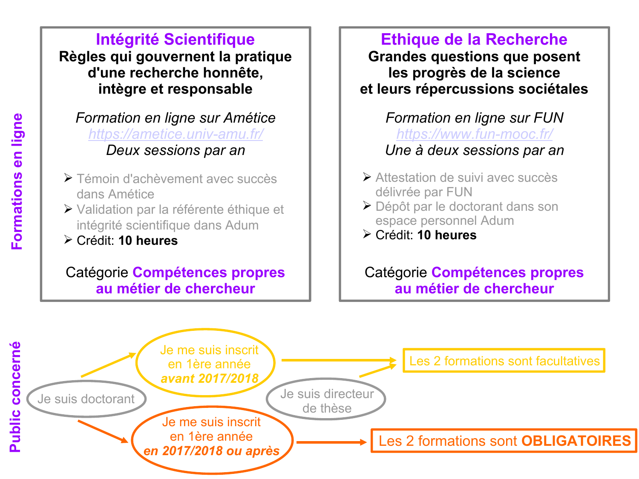**Intégrité Scientifique Règles qui gouvernent la pratique d'une recherche honnête, intègre et responsable**

*Formation en ligne sur Amétice <https://ametice.univ-amu.fr/> Deux sessions par an*

- Témoin d'achèvement avec succès dans Amétice
- Validation par la référente éthique et intégrité scientifique dans Adum
- Crédit: **10 heures**

# Catégorie **Compétences propres au métier de chercheur**

**Ethique de la Recherche Grandes questions que posent les progrès de la science et leurs répercussions sociétales**

*Formation en ligne sur FUN <https://www.fun-mooc.fr/> Une à deux sessions par an*

- Attestation de suivi avec succès délivrée par FUN
- Dépôt par le doctorant dans son espace personnel Adum
- Crédit: **10 heures**

Catégorie **Compétences propres au métier de chercheur**

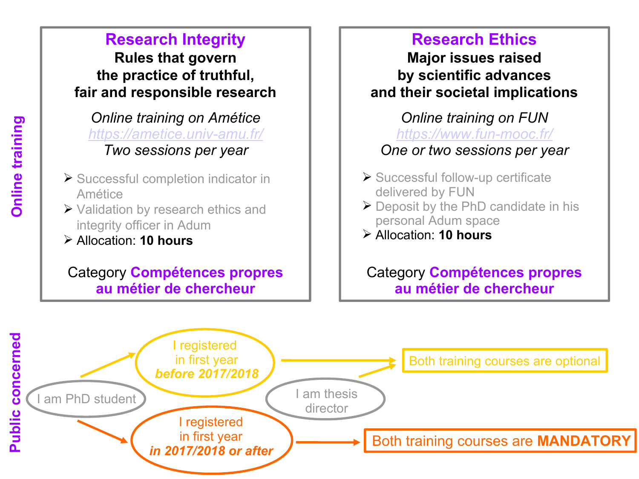**Rules that govern the practice of truthful, fair and responsible research**

*Online training on Amétice <https://ametice.univ-amu.fr/> Two sessions per year*

- ▶ Successful completion indicator in Amétice
- ▶ Validation by research ethics and integrity officer in Adum
- Allocation: **10 hours**

# Category **Compétences propres au métier de chercheur**

# **Research Ethics**

**Major issues raised by scientific advances and their societal implications**

*Online training on FUN <https://www.fun-mooc.fr/> One or two sessions per year*

- ▶ Successful follow-up certificate delivered by FUN
- $\triangleright$  Deposit by the PhD candidate in his personal Adum space
- Allocation: **10 hours**

Category **Compétences propres au métier de chercheur**